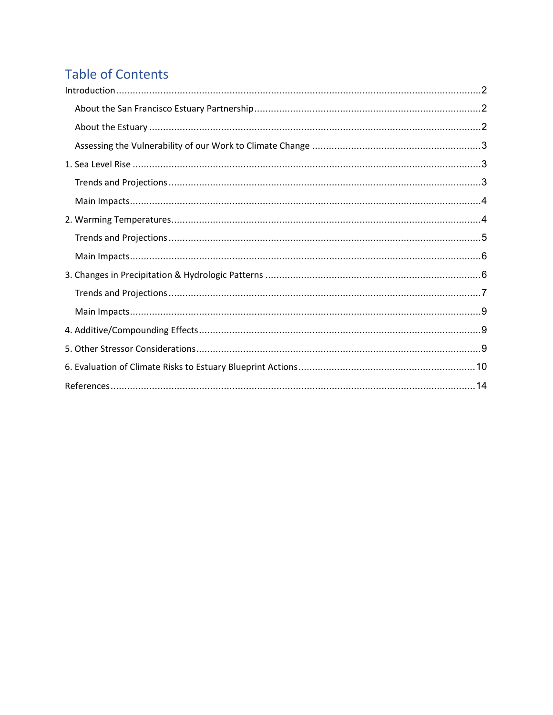## **Table of Contents**